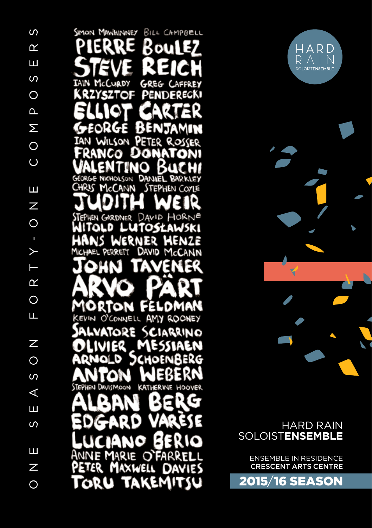



# HARD RAIN SOLOIST**ENSEMBLE**

ENSEMBLE in Residence Crescent Arts Centre

2015/16 SEASON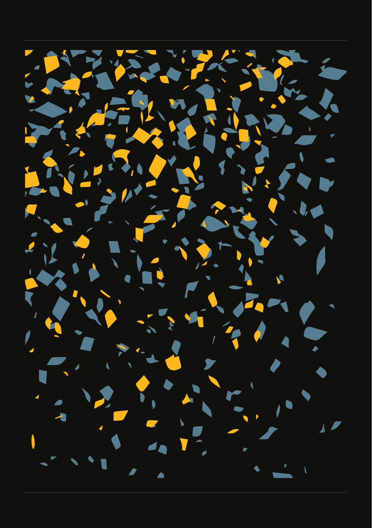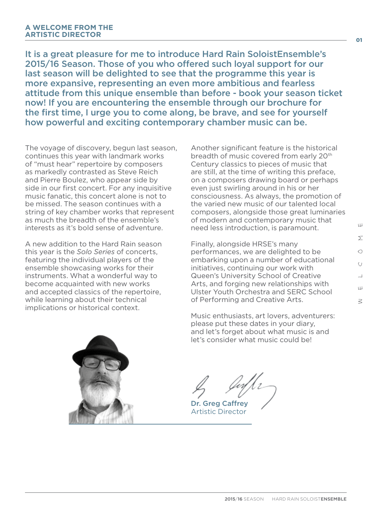## **A WELCOME FROM THE ARTISTIC DIRECTOR**

It is a great pleasure for me to introduce Hard Rain SoloistEnsemble's 2015/16 Season. Those of you who offered such loyal support for our last season will be delighted to see that the programme this year is more expansive, representing an even more ambitious and fearless attitude from this unique ensemble than before - book your season ticket now! If you are encountering the ensemble through our brochure for the first time, I urge you to come along, be brave, and see for yourself how powerful and exciting contemporary chamber music can be.

The voyage of discovery, begun last season, continues this year with landmark works of "must hear" repertoire by composers as markedly contrasted as Steve Reich and Pierre Boulez, who appear side by side in our first concert. For any inquisitive music fanatic, this concert alone is not to be missed. The season continues with a string of key chamber works that represent as much the breadth of the ensemble's interests as it's bold sense of adventure.

A new addition to the Hard Rain season this year is the *Solo Series* of concerts, featuring the individual players of the ensemble showcasing works for their instruments. What a wonderful way to become acquainted with new works and accepted classics of the repertoire, while learning about their technical implications or historical context.

Another significant feature is the historical breadth of music covered from early 20<sup>th</sup> Century classics to pieces of music that are still, at the time of writing this preface, on a composers drawing board or perhaps even just swirling around in his or her consciousness. As always, the promotion of the varied new music of our talented local composers, alongside those great luminaries of modern and contemporary music that need less introduction, is paramount.

Finally, alongside HRSE's many performances, we are delighted to be embarking upon a number of educational initiatives, continuing our work with Queen's University School of Creative Arts, and forging new relationships with Ulster Youth Orchestra and SERC School of Performing and Creative Arts.

Music enthusiasts, art lovers, adventurers: please put these dates in your diary, and let's forget about what music is and let's consider what music could be!



Dr. Greg Caffrey Artistic Director

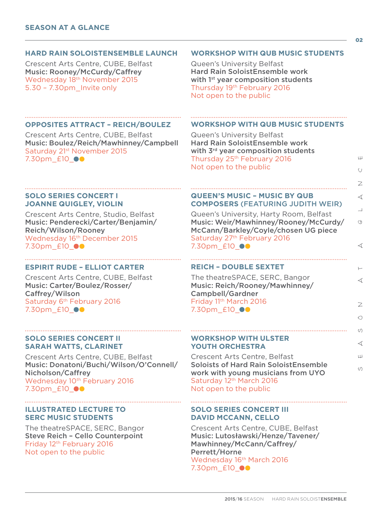# **Hard Rain SoloistEnsemble launch**

Crescent Arts Centre, CUBE, Belfast Music: Rooney/McCurdy/Caffrey Wednesday 18<sup>th</sup> November 2015  $5.30 - 7.30$ pm\_Invite only

#### **Opposites Attract – Reich/Boulez**

Crescent Arts Centre, CUBE, Belfast Music: Boulez/Reich/Mawhinney/Campbell Saturday 21st November 2015 7.30pm £10

# **Solo Series Concert I Joanne Quigley, Violin**

Crescent Arts Centre, Studio, Belfast Music: Penderecki/Carter/Benjamin/ Reich/Wilson/Rooney Wednesday 16<sup>th</sup> December 2015 7.30pm £10 ●●

### **Espirit Rude – Elliot Carter**

Crescent Arts Centre, CUBE, Belfast Music: Carter/Boulez/Rosser/ Caffrey/Wilson Saturday 6th February 2016 7.30pm\_£10

## **Solo Series Concert II Sarah Watts, Clarinet**

Crescent Arts Centre, CUBE, Belfast Music: Donatoni/Buchi/Wilson/O'Connell/ Nicholson/Caffrey Wednesday 10<sup>th</sup> February 2016 7.30pm £10 ●●

# **Illustrated lecture to SERC music students**

The theatreSPACE, SERC, Bangor Steve Reich – Cello Counterpoint Friday 12th February 2016 Not open to the public

#### **Workshop with QUB music students**

Queen's University Belfast Hard Rain SoloistEnsemble work with 1<sup>st</sup> year composition students Thursday 19th February 2016 Not open to the public

#### **Workshop with QUB music students**

Queen's University Belfast Hard Rain SoloistEnsemble work with 3<sup>rd</sup> year composition students Thursday 25<sup>th</sup> February 2016 Not open to the public

**Queen's Music – Music by QUB composers** (featuring Judith Weir)

Queen's University, Harty Room, Belfast Music: Weir/Mawhinney/Rooney/McCurdy/ McCann/Barkley/Coyle/chosen UG piece Saturday 27<sup>th</sup> February 2016 7.30pm £10

#### **Reich – Double Sextet**

The theatreSPACE, SERC, Bangor Music: Reich/Rooney/Mawhinney/ Campbell/Gardner Friday 11th March 2016 7.30pm £10

#### **Workshop with Ulster Youth Orchestra**

Crescent Arts Centre, Belfast Soloists of Hard Rain SoloistEnsemble work with young musicians from UYO Saturday 12<sup>th</sup> March 2016 Not open to the public

# **Solo Series Concert III David McCann, Cello**

Crescent Arts Centre, CUBE, Belfast Music: Lutosławski/Henze/Tavener/ Mawhinney/McCann/Caffrey/ Perrett/Horne Wednesday 16<sup>th</sup> March 2016 7.30pm\_£10\_

úЦ  $\binom{1}{k}$  $\overline{z}$  $\prec$  $\overline{\phantom{0}}$ Ch

z.

Н  $\prec$ 

 $\overline{z}$  $\sqrt{2}$  $\epsilon$ ≺  $(11)$ 

 $\epsilon$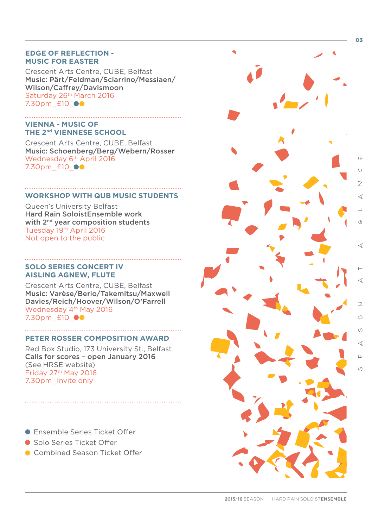## **Edge of Reflection - Music for Easter**

Crescent Arts Centre, CUBE, Belfast Music: Pärt/Feldman/Sciarrino/Messiaen/ Wilson/Caffrey/Davismoon Saturday 26<sup>th</sup> March 2016 7.30pm £10

# **Vienna - Music of the 2nd Viennese School**

Crescent Arts Centre, CUBE, Belfast Music: Schoenberg/Berg/Webern/Rosser Wednesday 6<sup>th</sup> April 2016 7.30pm £10

# **Workshop with QUB music students**

Queen's University Belfast Hard Rain SoloistEnsemble work with 2<sup>nd</sup> year composition students Tuesday 19th April 2016 Not open to the public

# **Solo Series Concert IV Aisling Agnew, Flute**

Crescent Arts Centre, CUBE, Belfast Music: Varèse/Berio/Takemitsu/Maxwell Davies/Reich/Hoover/Wilson/O'Farrell Wednesday 4<sup>th</sup> May 2016 7.30pm £10 ●●

#### **Peter Rosser Composition Award**

Red Box Studio, 173 University St., Belfast Calls for scores – open January 2016 [\(See HRSE website\)](http://www.hardrainensemble.com/#!season-2015---16/ujov5) Friday 27th May 2016 7.30pm\_Invite only

- **Ensemble Series Ticket Offer**
- Solo Series Ticket Offer
- **Combined Season Ticket Offer**

 $0<sup>2</sup>$ 

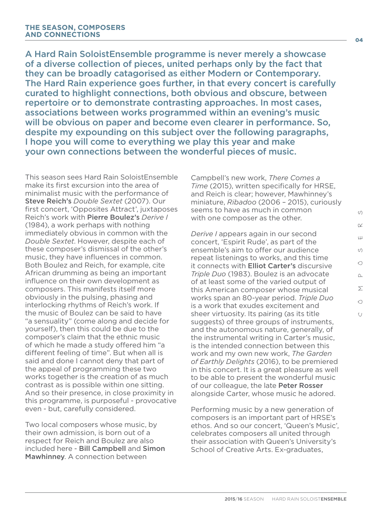A Hard Rain SoloistEnsemble programme is never merely a showcase of a diverse collection of pieces, united perhaps only by the fact that they can be broadly catagorised as either Modern or Contemporary. The Hard Rain experience goes further, in that every concert is carefully curated to highlight connections, both obvious and obscure, between repertoire or to demonstrate contrasting approaches. In most cases, associations between works programmed within an evening's music will be obvious on paper and become even clearer in performance. So, despite my expounding on this subject over the following paragraphs, I hope you will come to everything we play this year and make your own connections between the wonderful pieces of music.

This season sees Hard Rain SoloistEnsemble make its first excursion into the area of minimalist music with the performance of Steve Reich's *Double Sextet* (2007). Our first concert, 'Opposites Attract', juxtaposes Reich's work with Pierre Boulez's *Derive I* (1984), a work perhaps with nothing immediately obvious in common with the *Double Sextet*. However, despite each of these composer's dismissal of the other's music, they have influences in common. Both Boulez and Reich, for example, cite African drumming as being an important influence on their own development as composers. This manifests itself more obviously in the pulsing, phasing and interlocking rhythms of Reich's work. If the music of Boulez can be said to have "a sensuality" (come along and decide for yourself), then this could be due to the composer's claim that the ethnic music of which he made a study offered him "a different feeling of time". But when all is said and done I cannot deny that part of the appeal of programming these two works together is the creation of as much contrast as is possible within one sitting. And so their presence, in close proximity in this programme, is purposeful - provocative even - but, carefully considered.

Two local composers whose music, by their own admission, is born out of a respect for Reich and Boulez are also included here - Bill Campbell and Simon Mawhinney. A connection between

Campbell's new work, *There Comes a Time* (2015), written specifically for HRSE, and Reich is clear; however, Mawhinney's miniature, *Ribadoo* (2006 – 2015), curiously seems to have as much in common with one composer as the other.

*Derive I* appears again in our second concert, 'Espirit Rude', as part of the ensemble's aim to offer our audience repeat listenings to works, and this time it connects with **Elliot Carter's** discursive *Triple Duo* (1983). Boulez is an advocate of at least some of the varied output of this American composer whose musical works span an 80-year period. *Triple Duo* is a work that exudes excitement and sheer virtuosity. Its pairing (as its title suggests) of three groups of instruments, and the autonomous nature, generally, of the instrumental writing in Carter's music, is the intended connection between this work and my own new work, *The Garden of Earthly Delights* (2016), to be premiered in this concert. It is a great pleasure as well to be able to present the wonderful music of our colleague, the late Peter Rosser alongside Carter, whose music he adored.

Performing music by a new generation of composers is an important part of HRSE's ethos. And so our concert, 'Queen's Music', celebrates composers all united through their association with Queen's University's School of Creative Arts. Ex-graduates,

04

 $\circ$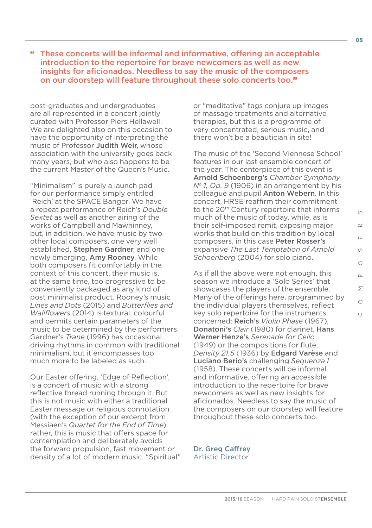# " These concerts will be informal and informative, offering an acceptable introduction to the repertoire for brave newcomers as well as new insights for aficionados. Needless to say the music of the composers on our doorstep will feature throughout these solo concerts too."

post-graduates and undergraduates are all represented in a concert jointly curated with Professor Piers Hellawell. We are delighted also on this occasion to have the opportunity of interpreting the music of Professor Judith Weir, whose association with the university goes back many years, but who also happens to be the current Master of the Queen's Music.

"Minimalism" is purely a launch pad for our performance simply entitled 'Reich' at the SPACE Bangor. We have a repeat performance of Reich's *Double Sextet* as well as another airing of the works of Campbell and Mawhinney, but, in addition, we have music by two other local composers, one very well established, Stephen Gardner, and one newly emerging, Amy Rooney. While both composers fit comfortably in the context of this concert, their music is, at the same time, too progressive to be conveniently packaged as any kind of post minimalist product. Rooney's music *Lines and Dots* (2015) and *Butterflies and Wallflowers* (2014) is textural, colourful and permits certain parameters of the music to be determined by the performers. Gardner's *Trane* (1996) has occasional driving rhythms in common with traditional minimalism, but it encompasses too much more to be labeled as such.

Our Easter offering, 'Edge of Reflection', is a concert of music with a strong reflective thread running through it. But this is not music with either a traditional Easter message or religious connotation (with the exception of our excerpt from Messiaen's *Quartet for the End of Time*); rather, this is music that offers space for contemplation and deliberately avoids the forward propulsion, fast movement or density of a lot of modern music. "Spiritual" or "meditative" tags conjure up images of massage treatments and alternative therapies, but this is a programme of very concentrated, serious music, and there won't be a beautician in site!

The music of the 'Second Viennese School' features in our last ensemble concert of the year. The centerpiece of this event is Arnold Schoenberg's *Chamber Symphony No 1, Op. 9* (1906) in an arrangement by his colleague and pupil Anton Webern. In this concert, HRSE reaffirm their commitment to the 20<sup>th</sup> Century repertoire that informs much of the music of today, while, as is their self-imposed remit, exposing major works that build on this tradition by local composers, in this case Peter Rosser's expansive *The Last Temptation of Arnold Schoenberg* (2004) for solo piano.

As if all the above were not enough, this season we introduce a 'Solo Series' that showcases the players of the ensemble. Many of the offerings here, programmed by the individual players themselves, reflect key solo repertoire for the instruments concerned: Reich's *Violin Phase* (1967), Donatoni's *Clair* (1980) for clarinet, Hans Werner Henze's *Serenade for Cello* (1949) or the compositions for flute; *Density 21.5* (1936) by Edgard Varèse and Luciano Berio's challenging *Sequenza I* (1958). These concerts will be informal and informative, offering an accessible introduction to the repertoire for brave newcomers as well as new insights for aficionados. Needless to say the music of the composers on our doorstep will feature throughout these solo concerts too.

Dr. Greg Caffrey Artistic Director

 $\epsilon$ 

 $\infty$  $\alpha$  $\alpha$  $\circ$  $\bigcap$  $\sim$ Σ  $\overline{\phantom{0}}$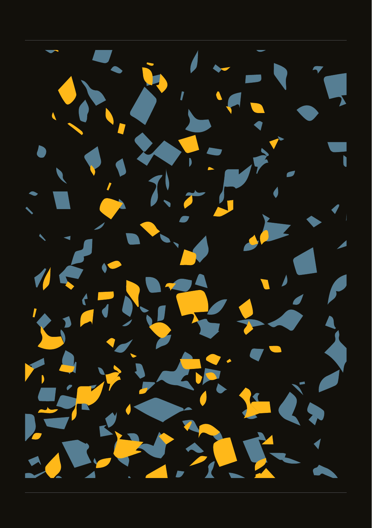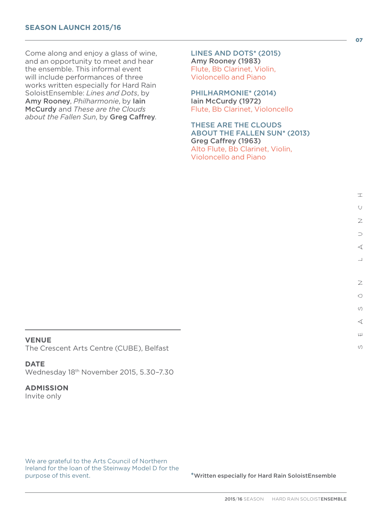Come along and enjoy a glass of wine, and an opportunity to meet and hear the ensemble. This informal event will include performances of three works written especially for Hard Rain SoloistEnsemble: *Lines and Dots*, by Amy Rooney, *Philharmonie*, by Iain McCurdy and *These are the Clouds about the Fallen Sun*, by Greg Caffrey.

Lines and Dots**\*** (2015) Amy Rooney (1983) Flute, Bb Clarinet, Violin, Violoncello and Piano

Philharmonie**\*** (2014) Iain McCurdy (1972) Flute, Bb Clarinet, Violoncello

These are the Clouds about the Fallen Sun**\*** (2013) Greg Caffrey (1963) Alto Flute, Bb Clarinet, Violin, Violoncello and Piano

#### **Venue**

The Crescent Arts Centre (CUBE), Belfast

# **Date**

Wednesday 18th November 2015, 5.30–7.30

# **Admission**

Invite only

We are grateful to the Arts Council of Northern Ireland for the loan of the Steinway Model D for the purpose of this event.

**\***Written especially for Hard Rain SoloistEnsemble

07

se

 $\prec$ 

so n l aun c h

 $\overline{z}$  $\Omega$  $\circ$ 

 $\top$  $\left( \right)$  $\overline{z}$  $\supset$  $\prec$  $\blacksquare$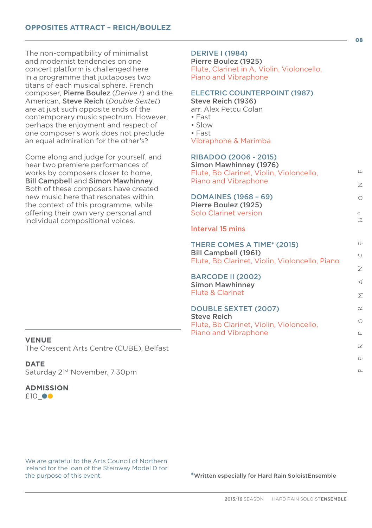The non-compatibility of minimalist and modernist tendencies on one concert platform is challenged here in a programme that juxtaposes two titans of each musical sphere. French composer, Pierre Boulez (*Derive I*) and the American, Steve Reich (*Double Sextet*) are at just such opposite ends of the contemporary music spectrum. However, perhaps the enjoyment and respect of one composer's work does not preclude an equal admiration for the other's?

Come along and judge for yourself, and hear two premiere performances of works by composers closer to home, Bill Campbell and Simon Mawhinney. Both of these composers have created new music here that resonates within the context of this programme, while offering their own very personal and individual compositional voices.

Derive I (1984) Pierre Boulez (1925) Flute, Clarinet in A, Violin, Violoncello, Piano and Vibraphone

#### Electric Counterpoint (1987) Steve Reich (1936)

arr. Alex Petcu Colan

- Fast
- Slow
- Fast

Vibraphone & Marimba

## Ribadoo (2006 - 2015) Simon Mawhinney (1976)  $\alpha$ Flute, Bb Clarinet, Violin, Violoncello, p e r d r m a n c e n o n e Piano and Vibraphone  $\overline{z}$ Domaines (1968 – 69)  $\sqrt{2}$ Pierre Boulez (1925) Solo Clarinet version  $\overline{\phantom{1}}$ Interval 15 mins  $\alpha$ There Comes a Time**\*** (2015) Bill Campbell (1961) Flute, Bb Clarinet, Violin, Violoncello, Piano Barcode II (2002) Simon Mawhinney Flute & Clarinet Double Sextet (2007)  $\sim$ Steve Reich  $\bigcirc$ Flute, Bb Clarinet, Violin, Violoncello, Piano and Vibraphone  $\mathbf{H}$  $\alpha$

**Venue**

The Crescent Arts Centre (CUBE), Belfast

### **Date**

Saturday 21st November, 7.30pm

**Admission** £10 ●●

We are grateful to the Arts Council of Northern Ireland for the loan of the Steinway Model D for the purpose of this event.

**\***Written especially for Hard Rain SoloistEnsemble

 $0<sup>8</sup>$ 

Pe

 $\binom{1}{2}$  $\overline{z}$  $\prec$  $\leq$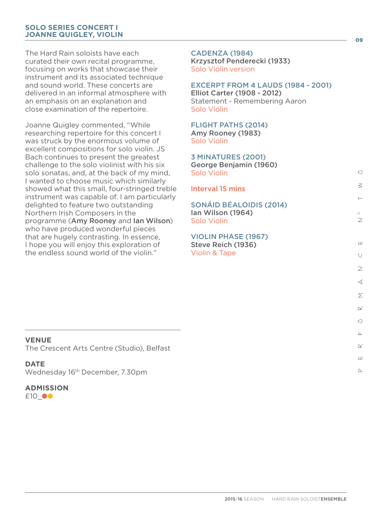# **Solo Series concert I JOANNE QUIGLEY, VIOLIN**

The Hard Rain soloists have each curated their own recital programme, focusing on works that showcase their instrument and its associated technique and sound world. These concerts are delivered in an informal atmosphere with an emphasis on an explanation and close examination of the repertoire.

Joanne Quigley commented, "While researching repertoire for this concert I was struck by the enormous volume of excellent compositions for solo violin. JS Bach continues to present the greatest challenge to the solo violinist with his six solo sonatas, and, at the back of my mind, I wanted to choose music which similarly showed what this small, four-stringed treble instrument was capable of. I am particularly delighted to feature two outstanding Northern Irish Composers in the programme (Amy Rooney and Ian Wilson) who have produced wonderful pieces that are hugely contrasting. In essence, I hope you will enjoy this exploration of the endless sound world of the violin."

Cadenza (1984) Krzysztof Penderecki (1933) Solo Violin version

# Excerpt from 4 Lauds (1984 - 2001) Elliot Carter (1908 - 2012) Statement - Remembering Aaron Solo Violin

#### Flight Paths (2014) Amy Rooney (1983)

Solo Violin

| <b>3 MINATURES (2001)</b> |
|---------------------------|
| George Benjamin (1960)    |
| Solo Violin               |

| Solo Violin                                                 | O                              |
|-------------------------------------------------------------|--------------------------------|
| <b>Interval 15 mins</b>                                     | $\geq$                         |
| SONÁID BÉALOIDIS (2014)<br>Ian Wilson (1964)<br>Solo Violin | ⊢<br>$\circ$<br>$\overline{z}$ |
| <b>VIOLIN PHASE (1967)</b><br>Steve Reich (1936)            | Щ                              |
| <b>Violin &amp; Tape</b>                                    | $\cup$                         |
|                                                             | $\overline{z}$                 |
|                                                             | $\prec$                        |
|                                                             | Σ                              |
|                                                             | $\alpha$                       |
|                                                             | $\circ$                        |
|                                                             | 11                             |
|                                                             | $\alpha$                       |
|                                                             | Щ                              |
|                                                             | $\Delta$                       |

# **Venue** The Crescent Arts Centre (Studio), Belfast

**Date**

Wednesday 16th December, 7.30pm

**Admission** £10 **@@** 

Ó

 $\prec$  $\leq$  $\sim$  $\bigcap$  $\mathbf{H}$  $\alpha$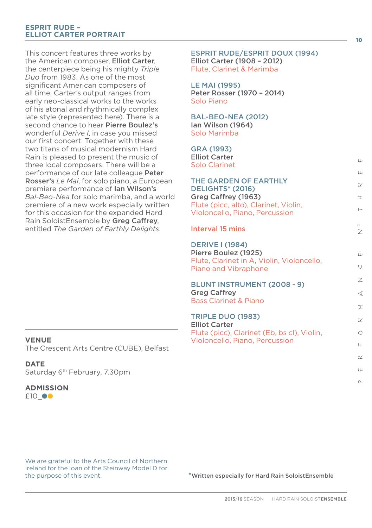# **Esprit Rude – Elliot Carter Portrait** <sup>10</sup>

This concert features three works by the American composer, Elliot Carter, the centerpiece being his mighty *Triple Duo* from 1983. As one of the most significant American composers of all time, Carter's output ranges from early neo-classical works to the works of his atonal and rhythmically complex late style (represented here). There is a second chance to hear Pierre Boulez's wonderful *Derive I*, in case you missed our first concert. Together with these two titans of musical modernism Hard Rain is pleased to present the music of three local composers. There will be a performance of our late colleague Peter Rosser's *Le Mai*, for solo piano, a European premiere performance of Ian Wilson's *Bal-Beo-Nea* for solo marimba, and a world premiere of a new work especially written for this occasion for the expanded Hard Rain SoloistEnsemble by Greg Caffrey, entitled *The Garden of Earthly Delights*.

Esprit Rude/Esprit Doux (1994) Elliot Carter (1908 – 2012) Flute, Clarinet & Marimba

Le Mai (1995) Peter Rosser (1970 – 2014) Solo Piano

Bal-Beo-Nea (2012) Ian Wilson (1964) Solo Marimba

| two titans of musical modernism Hard<br>Rain is pleased to present the music of            | <b>GRA (1993)</b><br><b>Elliot Carter</b>                                                      | Щ                         |
|--------------------------------------------------------------------------------------------|------------------------------------------------------------------------------------------------|---------------------------|
| three local composers. There will be a                                                     | Solo Clarinet                                                                                  |                           |
| performance of our late colleague Peter                                                    |                                                                                                | Щ                         |
| Rosser's Le Mai, for solo piano, a European<br>premiere performance of <b>Ian Wilson's</b> | THE GARDEN OF EARTHLY<br><b>DELIGHTS* (2016)</b>                                               | $\alpha$                  |
| Bal-Beo-Nea for solo marimba, and a world                                                  | Greg Caffrey (1963)<br>Flute (picc, alto), Clarinet, Violin,<br>Violoncello, Piano, Percussion | I                         |
| premiere of a new work especially written<br>for this occasion for the expanded Hard       |                                                                                                | $\vdash$                  |
| Rain SoloistEnsemble by Greg Caffrey,                                                      |                                                                                                |                           |
| entitled The Garden of Earthly Delights.                                                   | Interval 15 mins                                                                               | $\circ$<br>$\overline{z}$ |
|                                                                                            | <b>DERIVE I (1984)</b>                                                                         |                           |
|                                                                                            | Pierre Boulez (1925)                                                                           | Щ                         |
|                                                                                            | Flute, Clarinet in A, Violin, Violoncello,<br>Piano and Vibraphone                             | $\cup$                    |
|                                                                                            |                                                                                                |                           |
|                                                                                            | <b>BLUNT INSTRUMENT (2008 - 9)</b><br><b>Greg Caffrey</b><br><b>Bass Clarinet &amp; Piano</b>  | $\mathsf{Z}$              |
|                                                                                            |                                                                                                | $\prec$                   |
|                                                                                            |                                                                                                | Σ                         |
|                                                                                            | <b>TRIPLE DUO (1983)</b>                                                                       |                           |
|                                                                                            | <b>Elliot Carter</b>                                                                           | $\propto$                 |
| <b>VENUE</b><br>The Crescent Arts Centre (CUBE), Belfast                                   | Flute (picc), Clarinet (Eb, bs cl), Violin,                                                    | $\circ$                   |
|                                                                                            | Violoncello, Piano, Percussion                                                                 | $\downarrow\downarrow$    |
| <b>DATE</b>                                                                                |                                                                                                | $\alpha$                  |
| Saturday 6 <sup>th</sup> February, 7.30pm                                                  |                                                                                                | Щ                         |
|                                                                                            |                                                                                                | Δ.                        |

### **DATE**

**Admission** £10 ●●

We are grateful to the Arts Council of Northern Ireland for the loan of the Steinway Model D for<br>the purpose of this event.

\*Written especially for Hard Rain SoloistEnsemble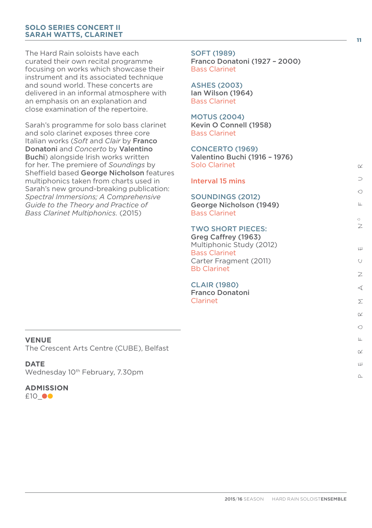# **Solo Series concert II SARAH WATTS, CLARINET** 11

The Hard Rain soloists have each curated their own recital programme focusing on works which showcase their instrument and its associated technique and sound world. These concerts are delivered in an informal atmosphere with an emphasis on an explanation and close examination of the repertoire.

Sarah's programme for solo bass clarinet and solo clarinet exposes three core Italian works (*Soft* and *Clair* by Franco Donatoni and *Concerto* by Valentino Buchi) alongside Irish works written for her. The premiere of *Soundings* by Sheffield based George Nicholson features multiphonics taken from charts used in Sarah's new ground-breaking publication: *Spectral Immersions; A Comprehensive Guide to the Theory and Practice of Bass Clarinet Multiphonics.* (2015)

SOFT (1989) Franco Donatoni (1927 – 2000) Bass Clarinet

Ashes (2003) Ian Wilson (1964) Bass Clarinet

**MOTUS (2004)** Kevin O Connell (1958) Bass Clarinet

Concerto (1969) Valentino Buchi (1916 – 1976) Solo Clarinet  $\alpha$ P E R F O R M A N C E N º F O U R  $\overline{\phantom{0}}$ Interval 15 mins  $\bigcirc$ Soundings (2012) George Nicholson (1949) LL. Bass Clarinet  $\overline{a}$  $\overline{\phantom{1}}$ Two short Pieces: Greg Caffrey (1963) Multiphonic Study (2012)  $\alpha$ Bass Clarinet Carter Fragment (2011)  $\epsilon$ Bb Clarinet  $\overline{z}$ Clair (1980)  $\prec$ Franco Donatoni Clarinet  $\overline{z}$  $\sim$  $\sqrt{2}$  $\mathbf{r}$ 

**Venue**

The Crescent Arts Centre (CUBE), Belfast

# **Date**

Wednesday 10<sup>th</sup> February, 7.30pm

**Admission** £10 **@@** 

Pe

 $\alpha$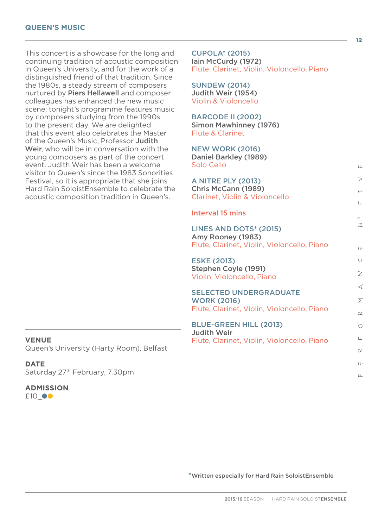This concert is a showcase for the long and continuing tradition of acoustic composition in Queen's University, and for the work of a distinguished friend of that tradition. Since the 1980s, a steady stream of composers nurtured by Piers Hellawell and composer colleagues has enhanced the new music scene; tonight's programme features music by composers studying from the 1990s to the present day. We are delighted that this event also celebrates the Master of the Queen's Music, Professor Judith Weir, who will be in conversation with the young composers as part of the concert event. Judith Weir has been a welcome visitor to Queen's since the 1983 Sonorities Festival, so it is appropriate that she joins Hard Rain SoloistEnsemble to celebrate the acoustic composition tradition in Queen's.

Cupola**\*** (2015) Iain McCurdy (1972) Flute, Clarinet, Violin, Violoncello, Piano

Sundew (2014) Judith Weir (1954) Violin & Violoncello

Barcode II (2002) Simon Mawhinney (1976) Flute & Clarinet

New Work (2016) Daniel Barkley (1989) Solo Cello

A Nitre Ply (2013) Chris McCann (1989) Clarinet, Violin & Violoncello

Interval 15 mins

Lines and Dots**\*** (2015) Amy Rooney (1983) Flute, Clarinet, Violin, Violoncello, Piano

Eske (2013) Stephen Coyle (1991) Violin, Violoncello, Piano

SELECTED UNDERGRADUATE work (2016) Flute, Clarinet, Violin, Violoncello, Piano

Blue-Green Hill (2013) Judith Weir **Venue** Flute, Clarinet, Violin, Violoncello, Piano

Queen's University (Harty Room), Belfast

#### **Date**

Saturday 27<sup>th</sup> February, 7.30pm

**Admission** £10 ●●

12

Pe

p E R F O R M A N C E N O F I V E

úЦ  $\left( \right)$  $\overline{z}$  $\prec$  $\sum$  $\sim$  $\triangle$  $\mathbf{u}$  $\sim$ 

 $\overline{z}$ 

 $(11)$  $\overline{\phantom{0}}$ . .  $\mathbb{R}$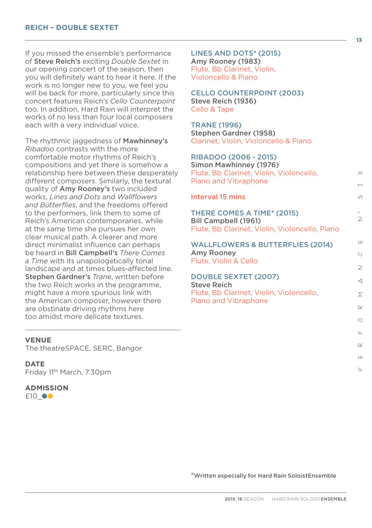If you missed the ensemble's performance of Steve Reich's exciting *Double Sextet* in our opening concert of the season, then you will definitely want to hear it here. If the work is no longer new to you, we feel you will be back for more, particularly since this concert features Reich's *Cello Counterpoint* too. In addition, Hard Rain will interpret the works of no less than four local composers each with a very individual voice.

The rhythmic jaggedness of Mawhinney's *Ribadoo* contrasts with the more comfortable motor rhythms of Reich's compositions and yet there is somehow a relationship here between these desperately different composers. Similarly, the textural quality of Amy Rooney's two included works, *Lines and Dots* and *Wallflowers and Butterflies*, and the freedoms offered to the performers, link them to some of Reich's American contemporaries, while at the same time she pursues her own clear musical path. A clearer and more direct minimalist influence can perhaps be heard in Bill Campbell's *There Comes a Time* with its unapologetically tonal landscape and at times blues-affected line. Stephen Gardner's *Trane*, written before the two Reich works in the programme, might have a more spurious link with the American composer, however there are obstinate driving rhythms here too amidst more delicate textures.

Lines and Dots**\*** (2015) Amy Rooney (1983) Flute, Bb Clarinet, Violin, Violoncello & Piano

#### Cello Counterpoint (2003) Steve Reich (1936) Cello & Tape

Trane (1996) Stephen Gardner (1958) Clarinet, Violin, Violoncello & Piano

| RIBADOO (2006 - 2015)<br>Simon Mawhinney (1976)<br>Flute, Bb Clarinet, Violin, Violoncello,                           | $\times$                      |
|-----------------------------------------------------------------------------------------------------------------------|-------------------------------|
| Piano and Vibraphone                                                                                                  | $\mapsto$                     |
| <b>Interval 15 mins</b>                                                                                               | S)                            |
| THERE COMES A TIME* (2015)<br>Bill Campbell (1961)<br>Flute, Bb Clarinet, Violin, Violoncello, Piano                  | $\circ$<br>Ζ                  |
| <b>WALLFLOWERS &amp; BUTTERFLIES (2014)</b><br><b>Amy Rooney</b><br>Flute, Violin & Cello                             | Щ<br>$\cup$<br>$\overline{z}$ |
| <b>DOUBLE SEXTET (2007)</b><br><b>Steve Reich</b><br>Flute, Bb Clarinet, Violin, Violoncello,<br>Piano and Vibraphone | $\prec$<br>Σ                  |
|                                                                                                                       | $\alpha$<br>$\circ$           |
|                                                                                                                       | Ц.                            |
|                                                                                                                       | $\alpha$                      |
|                                                                                                                       | Щ                             |
|                                                                                                                       | $\!\Delta$                    |

## **Venue**

The theatreSPACE, SERC, Bangor

### **Date**

Friday 11th March, 7.30pm

**Admission** £10 ●●

**\***Written especially for Hard Rain SoloistEnsemble

13

ن<br>م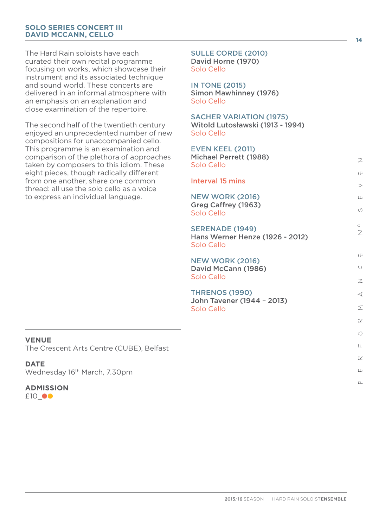# **Solo Series concert III DAVID MCCANN, CELLO** 14

The Hard Rain soloists have each curated their own recital programme focusing on works, which showcase their instrument and its associated technique and sound world. These concerts are delivered in an informal atmosphere with an emphasis on an explanation and close examination of the repertoire.

The second half of the twentieth century enjoyed an unprecedented number of new compositions for unaccompanied cello. This programme is an examination and comparison of the plethora of approaches taken by composers to this idiom. These eight pieces, though radically different from one another, share one common thread: all use the solo cello as a voice to express an individual language.

sulle corde (2010) David Horne (1970) Solo Cello

in tone (2015) Simon Mawhinney (1976) Solo Cello

SACHER VARIATION (1975) Witold Lutosławski (1913 - 1994) Solo Cello

| <b>EVEN KEEL (2011)</b><br>Michael Perrett (1988)<br>Solo Cello         | Ζ                         |
|-------------------------------------------------------------------------|---------------------------|
| Interval 15 mins                                                        | Щ<br>$\geq$               |
| <b>NEW WORK (2016)</b><br>Greg Caffrey (1963)<br>Solo Cello             | Щ<br>S)                   |
| <b>SERENADE (1949)</b><br>Hans Werner Henze (1926 - 2012)<br>Solo Cello | $\circ$<br>$\overline{z}$ |
| <b>NEW WORK (2016)</b><br>David McCann (1986)<br>Solo Cello             | Щ<br>Ù<br>Ζ               |
| <b>THRENOS (1990)</b><br>John Tavener (1944 - 2013)<br>Solo Cello       | ◁<br>Σ                    |
|                                                                         | $\alpha$                  |
|                                                                         | $\circ$                   |
|                                                                         | 11                        |
|                                                                         | $\alpha$                  |
|                                                                         | Щ                         |
|                                                                         | $\Delta$                  |

**Venue**

The Crescent Arts Centre (CUBE), Belfast

# **Date**

Wednesday 16<sup>th</sup> March, 7.30pm

**Admission** £10 **@@**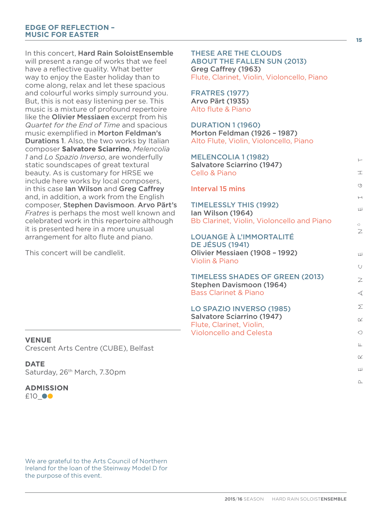# **Edge of Reflection – music for Easter** <sup>15</sup>

In this concert, Hard Rain SoloistEnsemble will present a range of works that we feel have a reflective quality. What better way to enjoy the Easter holiday than to come along, relax and let these spacious and colourful works simply surround you. But, this is not easy listening per se. This music is a mixture of profound repertoire like the Olivier Messiaen excerpt from his *Quartet for the End of Time* and spacious music exemplified in Morton Feldman's Durations 1. Also, the two works by Italian composer **Salvatore Sciarrino**, *Melencolia 1* and *Lo Spazio Inverso*, are wonderfully static soundscapes of great textural beauty. As is customary for HRSE we include here works by local composers, in this case Ian Wilson and Greg Caffrey and, in addition, a work from the English composer, Stephen Davismoon. Arvo Pärt's *Fratres* is perhaps the most well known and celebrated work in this repertoire although it is presented here in a more unusual arrangement for alto flute and piano.

This concert will be candlelit.

These are the Clouds about the Fallen Sun (2013) Greg Caffrey (1963) Flute, Clarinet, Violin, Violoncello, Piano

Fratres (1977) Arvo Pärt (1935) Alto flute & Piano

Duration 1 (1960) Morton Feldman (1926 – 1987) Alto Flute, Violin, Violoncello, Piano

| <b>MELENCOLIA 1 (1982)</b><br>Salvatore Sciarrino (1947)<br>Cello & Piano                        | ⊢<br>I                    |
|--------------------------------------------------------------------------------------------------|---------------------------|
| <b>Interval 15 mins</b>                                                                          | Ch                        |
| <b>TIMELESSLY THIS (1992)</b><br>Ian Wilson (1964)<br>Bb Clarinet, Violin, Violoncello and Piano | $\mapsto$<br>Щ            |
| LOUANGE À L'IMMORTALITÉ<br><b>DE JÉSUS (1941)</b>                                                | $\circ$<br>$\overline{z}$ |
| Olivier Messiaen (1908 - 1992)<br>Violin & Piano                                                 | Щ<br>Ù                    |
| <b>TIMELESS SHADES OF GREEN (2013)</b><br>Stephen Davismoon (1964)                               | Ζ                         |
| <b>Bass Clarinet &amp; Piano</b>                                                                 | ◁                         |
| <b>LO SPAZIO INVERSO (1985)</b>                                                                  | Σ                         |
| Salvatore Sciarrino (1947)<br>Flute, Clarinet, Violin,                                           | $\alpha$                  |
| <b>Violoncello and Celesta</b>                                                                   | $\circ$                   |
|                                                                                                  | $\downarrow \downarrow$   |
|                                                                                                  | $\alpha$                  |
|                                                                                                  | Щ                         |
|                                                                                                  | $\Delta$                  |

**Venue**

Crescent Arts Centre (CUBE), Belfast

**Date** Saturday, 26<sup>th</sup> March, 7.30pm

**Admission** £10 ●●

We are grateful to the Arts Council of Northern Ireland for the loan of the Steinway Model D for the purpose of this event.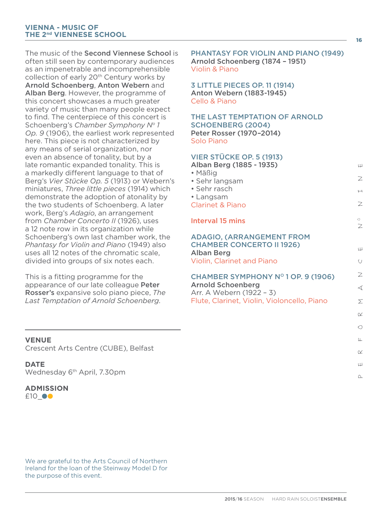# **Vienna - music of** THE 2<sup>nd</sup> VIENNESE SCHOOL **16**

The music of the Second Viennese School is often still seen by contemporary audiences as an impenetrable and incomprehensible collection of early 20th Century works by Arnold Schoenberg, Anton Webern and Alban Berg. However, the programme of this concert showcases a much greater variety of music than many people expect to find. The centerpiece of this concert is Schoenberg's *Chamber Symphony No 1 Op. 9* (1906), the earliest work represented here. This piece is not characterized by any means of serial organization, nor even an absence of tonality, but by a late romantic expanded tonality. This is a markedly different language to that of Berg's *Vier Stücke Op. 5* (1913) or Webern's miniatures, *Three little pieces* (1914) which demonstrate the adoption of atonality by the two students of Schoenberg. A later work, Berg's *Adagio*, an arrangement from *Chamber Concerto II* (1926), uses a 12 note row in its organization while Schoenberg's own last chamber work, the *Phantasy for Violin and Piano* (1949) also uses all 12 notes of the chromatic scale, divided into groups of six notes each.

This is a fitting programme for the appearance of our late colleague Peter Rosser's expansive solo piano piece, *The Last Temptation of Arnold Schoenberg*.

Phantasy for Violin and Piano (1949) Arnold Schoenberg (1874 – 1951) Violin & Piano

3 Little Pieces Op. 11 (1914) Anton Webern (1883-1945) Cello & Piano

THE LAST TEMPTATION OF ARNOLD SCHOENBERG (2004) Peter Rosser (1970–2014) Solo Piano

### Vier Stücke Op. 5 (1913)

| Alban Berg (1885 - 1935)<br>• Mäßig             | Щ                             |
|-------------------------------------------------|-------------------------------|
| · Sehr langsam                                  | Ζ                             |
| • Sehr rasch                                    | $\mapsto$                     |
| • Langsam<br><b>Clarinet &amp; Piano</b>        | $\overline{z}$                |
| <b>Interval 15 mins</b>                         | $\circ$<br>$\mathsf{Z}% _{T}$ |
| <b>ADAGIO, (ARRANGEMENT FROM</b>                |                               |
| <b>CHAMBER CONCERTO II 1926)</b>                | Щ                             |
| Alban Berg<br><b>Violin, Clarinet and Piano</b> | $\cup$                        |
| CHAMBER SYMPHONY Nº 1 OP. 9 (1906)              | Ζ                             |
| Arnold Schoenberg<br>Arr. A Webern (1922 - 3)   | $\prec$                       |
| Flute, Clarinet, Violin, Violoncello, Piano     | Σ                             |
|                                                 | $\alpha$                      |
|                                                 | $\circ$                       |
|                                                 | $\downarrow$                  |
|                                                 | $\alpha$                      |
|                                                 | Щ                             |
|                                                 | $\triangle$                   |

#### CHAMBER SYMPHONY Nº 1 OP. 9 (1906) Arnold Schoenberg Arr. A Webern (1922 – 3)

# **Venue**

Crescent Arts Centre (CUBE), Belfast

# **DATE**

Wednesday 6<sup>th</sup> April, 7.30pm

### **Admission** £10\_<sup>●●</sup>

We are grateful to the Arts Council of Northern Ireland for the loan of the Steinway Model D for the purpose of this event.

Pe

 $\overline{z}$ 

 $(11)$  $($  )  $\overline{z}$  $\prec$  $\overline{z}$  $\sim$  $\triangle$ LL.  $\sim$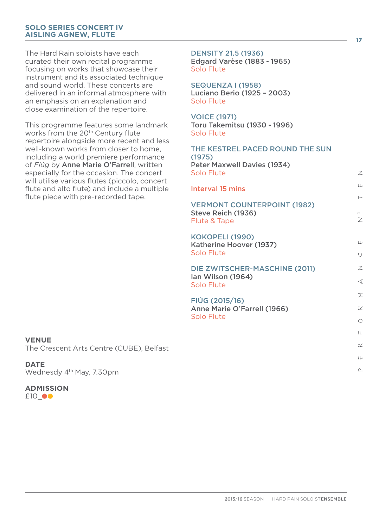# **Solo Series concert iv AISLING AGNEW, FLUTE** 17

The Hard Rain soloists have each curated their own recital programme focusing on works that showcase their instrument and its associated technique and sound world. These concerts are delivered in an informal atmosphere with an emphasis on an explanation and close examination of the repertoire.

This programme features some landmark works from the 20<sup>th</sup> Century flute repertoire alongside more recent and less well-known works from closer to home, including a world premiere performance of *Fiúg* by Anne Marie O'Farrell, written especially for the occasion. The concert will utilise various flutes (piccolo, concert flute and alto flute) and include a multiple flute piece with pre-recorded tape.

Density 21.5 (1936) Edgard Varèse (1883 - 1965) Solo Flute

Sequenza I (1958) Luciano Berio (1925 – 2003) Solo Flute

Voice (1971) Toru Takemitsu (1930 - 1996) Solo Flute

The Kestrel Paced Round the Sun (1975) Peter Maxwell Davies (1934) Solo Flute

Vermont Counterpoint (1982) Steve Reich (1936) Flute & Tape

Kokopeli (1990) Katherine Hoover (1937) Solo Flute

Interval 15 mins

Die Zwitscher-Maschine (2011) Ian Wilson (1964) Solo Flute

Fiúg (2015/16) Anne Marie O'Farrell (1966) Solo Flute

The Crescent Arts Centre (CUBE), Belfast

**DATE** Wednesdy 4th May, 7.30pm

**Admission** £10\_<sup>●●</sup>

 $\cdots$ 

 $\overline{a}$  $\overline{\phantom{1}}$ 

Pe

p e r e r o r m a n c e n o r e n

Ш  $(1)$  $\overline{z}$  $\prec$  $\overline{z}$  $\sim$  $\bigcirc$  $\mathbf{r}$  $\alpha$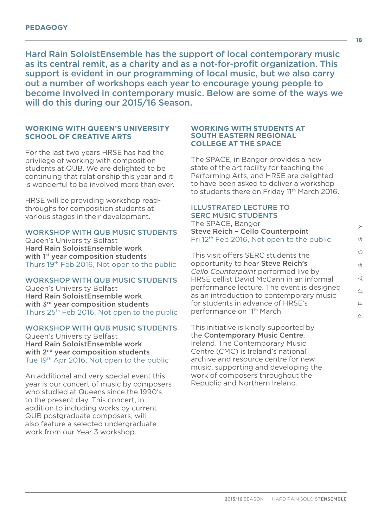Hard Rain SoloistEnsemble has the support of local contemporary music as its central remit, as a charity and as a not-for-profit organization. This support is evident in our programming of local music, but we also carry out a number of workshops each year to encourage young people to become involved in contemporary music. Below are some of the ways we will do this during our 2015/16 Season.

# **Working with Queen's University School of Creative Arts**

For the last two years HRSE has had the privilege of working with composition students at QUB. We are delighted to be continuing that relationship this year and it is wonderful to be involved more than ever.

HRSE will be providing workshop readthroughs for composition students at various stages in their development.

# WORKSHOP WITH QUB MUSIC STUDENTS

Queen's University Belfast Hard Rain SoloistEnsemble work with 1<sup>st</sup> year composition students Thurs 19th Feb 2016, Not open to the public

## WORKSHOP WITH QUB MUSIC STUDENTS

Queen's University Belfast Hard Rain SoloistEnsemble work with 3<sup>rd</sup> year composition students Thurs 25th Feb 2016, Not open to the public

## WORKSHOP WITH QUB MUSIC STUDENTS

Queen's University Belfast Hard Rain SoloistEnsemble work with 2<sup>nd</sup> year composition students Tue 19th Apr 2016, Not open to the public

An additional and very special event this year is our concert of music by composers who studied at Queens since the 1990's to the present day. This concert, in addition to including works by current QUB postgraduate composers, will also feature a selected undergraduate work from our Year 3 workshop.

### **Working with students at South Eastern Regional College at The Space**

The SPACE, in Bangor provides a new state of the art facility for teaching the Performing Arts, and HRSE are delighted to have been asked to deliver a workshop to students there on Friday 11th March 2016.

# Illustrated lecture to SERC music students The SPACE, Bangor

Steve Reich – Cello Counterpoint Fri 12th Feb 2016, Not open to the public

This visit offers SERC students the opportunity to hear Steve Reich's *Cello Counterpoint* performed live by HRSE cellist David McCann in an informal performance lecture. The event is designed as an introduction to contemporary music for students in advance of HRSE's performance on 11th March.

This initiative is kindly supported by the [Contemporary Music Centre](http://www.cmc.ie/), Ireland. The Contemporary Music Centre (CMC) is Ireland's national archive and resource centre for new music, supporting and developing the work of composers throughout the Republic and Northern Ireland.

 $\rightarrow$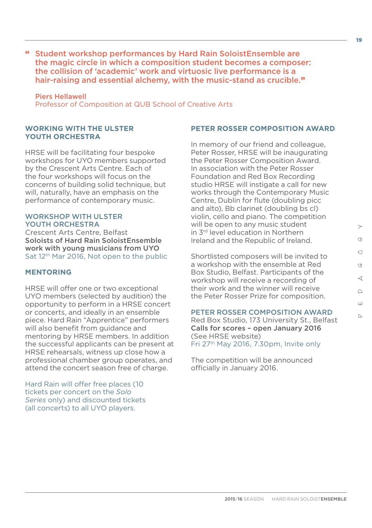" Student workshop performances by Hard Rain SoloistEnsemble are the magic circle in which a composition student becomes a composer: the collision of 'academic' work and virtuosic live performance is a hair-raising and essential alchemy, with the music-stand as crucible."

Piers Hellawell Professor of Composition at QUB School of Creative Arts

# **Working with the Ulster Youth Orchestra**

HRSE will be facilitating four bespoke workshops for UYO members supported by the Crescent Arts Centre. Each of the four workshops will focus on the concerns of building solid technique, but will, naturally, have an emphasis on the performance of contemporary music.

## WORKSHOP WITH ULSTER YOUTH ORCHESTRA

Crescent Arts Centre, Belfast Soloists of Hard Rain SoloistEnsemble work with young musicians from UYO Sat 12<sup>th</sup> Mar 2016, Not open to the public

# **Mentoring**

HRSE will offer one or two exceptional UYO members (selected by audition) the opportunity to perform in a HRSE concert or concerts, and ideally in an ensemble piece. Hard Rain "Apprentice" performers will also benefit from guidance and mentoring by HRSE members. In addition the successful applicants can be present at HRSE rehearsals, witness up close how a professional chamber group operates, and attend the concert season free of charge.

Hard Rain will offer free places (10 tickets per concert on the *Solo Series* only) and discounted tickets (all concerts) to all UYO players.

# **Peter Rosser Composition Award**

In memory of our friend and colleague, Peter Rosser, HRSE will be inaugurating the Peter Rosser Composition Award. In association with the Peter Rosser Foundation and Red Box Recording studio HRSE will instigate a call for new works through the Contemporary Music Centre, Dublin for flute (doubling picc and alto), Bb clarinet (doubling bs cl) violin, cello and piano. The competition will be open to any music student in 3rd level education in Northern Ireland and the Republic of Ireland.

Shortlisted composers will be invited to a workshop with the ensemble at Red Box Studio, Belfast. Participants of the workshop will receive a recording of their work and the winner will receive the Peter Rosser Prize for composition.

# Peter Rosser Composition Award

Red Box Studio, 173 University St., Belfast Calls for scores – open January 2016 [\(See HRSE website\)](http://www.hardrainensemble.com/#!season-2015---16/ujov5) Fri 27th May 2016, 7.30pm, Invite only

The competition will be announced officially in January 2016.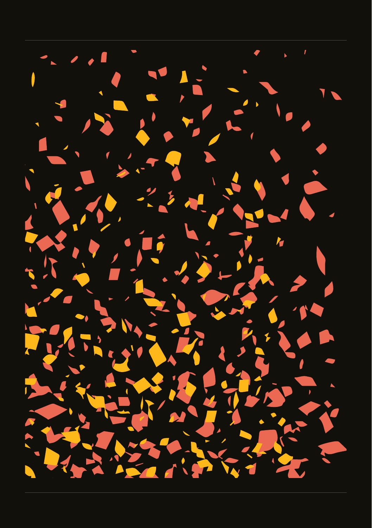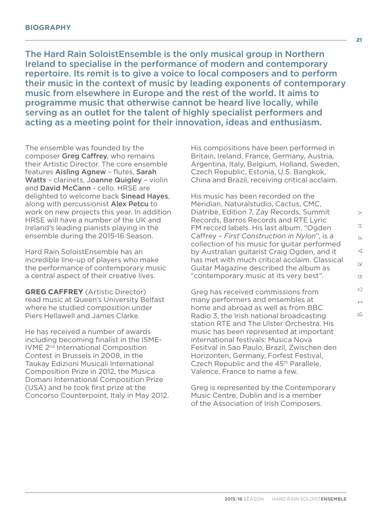The Hard Rain SoloistEnsemble is the only musical group in Northern Ireland to specialise in the performance of modern and contemporary repertoire. Its remit is to give a voice to local composers and to perform their music in the context of music by leading exponents of contemporary music from elsewhere in Europe and the rest of the world. It aims to programme music that otherwise cannot be heard live locally, while serving as an outlet for the talent of highly specialist performers and acting as a meeting point for their innovation, ideas and enthusiasm.

The ensemble was founded by the composer Greg Caffrey, who remains their Artistic Director. The core ensemble features Aisling Agnew – flutes, Sarah Watts - clarinets, Joanne Quigley - violin and David McCann - cello. HRSE are delighted to welcome back Sinead Hayes, along with percussionist Alex Petcu to work on new projects this year. In addition HRSE will have a number of the UK and Ireland's leading pianists playing in the ensemble during the 2015-16 Season.

Hard Rain SoloistEnsemble has an incredible line-up of players who make the performance of contemporary music a central aspect of their creative lives.

**Greg Caffrey** (Artistic Director) read music at Queen's University Belfast where he studied composition under Piers Hellawell and James Clarke.

He has received a number of awards including becoming finalist in the ISME-IVME 2nd International Composition Contest in Brussels in 2008, in the Taukay Edizioni Musicali International Composition Prize in 2012, the Musica Domani International Composition Prize (USA) and he took first prize at the Concorso Counterpoint, Italy in May 2012.

His compositions have been performed in Britain, Ireland, France, Germany, Austria, Argentina, Italy, Belgium, Holland, Sweden, Czech Republic, Estonia, U.S. Bangkok, China and Brazil, receiving critical acclaim.

His music has been recorded on the Meridian, Naturalstudio, Cactus, CMC, Diatribe, Edition 7, Zay Records, Summit Records, Barros Records and RTE Lyric FM record labels. His last album, "Ogden Caffrey – *First Construction in Nylon*", is a collection of his music for guitar performed by Australian guitarist Craig Ogden, and it has met with much critical acclaim. Classical Guitar Magazine described the album as "contemporary music at its very best".

Greg has received commissions from many performers and ensembles at home and abroad as well as from BBC Radio 3, the Irish national broadcasting station RTE and The Ulster Orchestra. His music has been represented at important international festivals: Musica Nova Fesitval in Sao Paulo, Brazil, Zwischen den Horizonten, Germany, Forfest Festival, Czech Republic and the 45<sup>th</sup> Parallele. Valence, France to name a few.

Greg is represented by the Contemporary Music Centre, Dublin and is a member of the Association of Irish Composers.

21

 $\sim$  $\pm$  $\sim$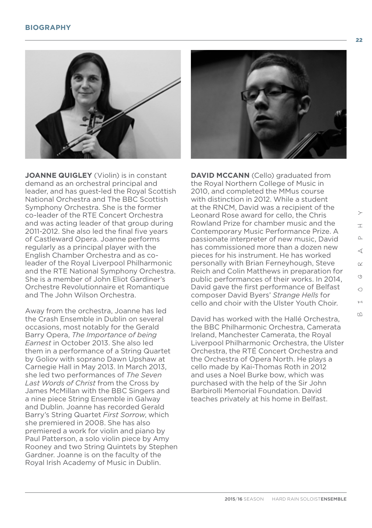

**Joanne Quigley** (Violin) is in constant demand as an orchestral principal and leader, and has guest-led the Royal Scottish National Orchestra and The BBC Scottish Symphony Orchestra. She is the former co-leader of the RTE Concert Orchestra and was acting leader of that group during 2011-2012. She also led the final five years of Castleward Opera. Joanne performs regularly as a principal player with the English Chamber Orchestra and as coleader of the Royal Liverpool Philharmonic and the RTE National Symphony Orchestra. She is a member of John Eliot Gardiner's Orchestre Revolutionnaire et Romantique and The John Wilson Orchestra.

Away from the orchestra, Joanne has led the Crash Ensemble in Dublin on several occasions, most notably for the Gerald Barry Opera, *The Importance of being Earnest* in October 2013. She also led them in a performance of a String Quartet by Goliov with soprano Dawn Upshaw at Carnegie Hall in May 2013. In March 2013, she led two performances of *The Seven Last Words of Christ* from the Cross by James McMillan with the BBC Singers and a nine piece String Ensemble in Galway and Dublin. Joanne has recorded Gerald Barry's String Quartet *First Sorrow*, which she premiered in 2008. She has also premiered a work for violin and piano by Paul Patterson, a solo violin piece by Amy Rooney and two String Quintets by Stephen Gardner. Joanne is on the faculty of the Royal Irish Academy of Music in Dublin.



**DAVID MCCANN** (Cello) graduated from the Royal Northern College of Music in 2010, and completed the MMus course with distinction in 2012. While a student at the RNCM, David was a recipient of the Leonard Rose award for cello, the Chris Rowland Prize for chamber music and the Contemporary Music Performance Prize. A passionate interpreter of new music, David has commissioned more than a dozen new pieces for his instrument. He has worked personally with Brian Ferneyhough, Steve Reich and Colin Matthews in preparation for public performances of their works. In 2014, David gave the first performance of Belfast composer David Byers' *Strange Hells* for cello and choir with the Ulster Youth Choir.

David has worked with the Hallé Orchestra, the BBC Philharmonic Orchestra, Camerata Ireland, Manchester Camerata, the Royal Liverpool Philharmonic Orchestra, the Ulster Orchestra, the RTÉ Concert Orchestra and the Orchestra of Opera North. He plays a cello made by Kai-Thomas Roth in 2012 and uses a Noel Burke bow, which was purchased with the help of the Sir John Barbirolli Memorial Foundation. David teaches privately at his home in Belfast.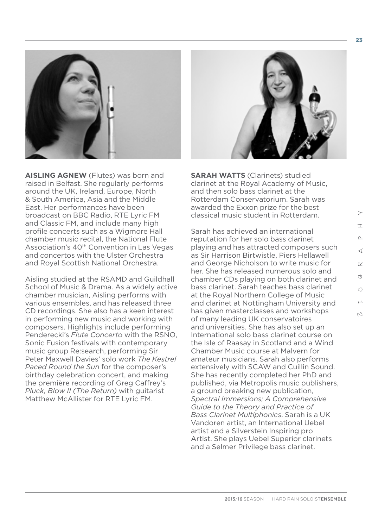

**Aisling Agnew** (Flutes) was born and raised in Belfast. She regularly performs around the UK, Ireland, Europe, North & South America, Asia and the Middle East. Her performances have been broadcast on BBC Radio, RTE Lyric FM and Classic FM, and include many high profile concerts such as a Wigmore Hall chamber music recital, the National Flute Association's 40th Convention in Las Vegas and concertos with the Ulster Orchestra and Royal Scottish National Orchestra.

Aisling studied at the RSAMD and Guildhall School of Music & Drama. As a widely active chamber musician, Aisling performs with various ensembles, and has released three CD recordings. She also has a keen interest in performing new music and working with composers. Highlights include performing Penderecki's *Flute Concerto* with the RSNO, Sonic Fusion festivals with contemporary music group Re:search, performing Sir Peter Maxwell Davies' solo work *The Kestrel Paced Round the Sun* for the composer's birthday celebration concert, and making the première recording of Greg Caffrey's *Pluck, Blow II (The Return)* with guitarist Matthew McAllister for RTE Lyric FM.



**SARAH WATTS** (Clarinets) studied clarinet at the Royal Academy of Music, and then solo bass clarinet at the Rotterdam Conservatorium. Sarah was awarded the Exxon prize for the best classical music student in Rotterdam.

Sarah has achieved an international reputation for her solo bass clarinet playing and has attracted composers such as Sir Harrison Birtwistle, Piers Hellawell and George Nicholson to write music for her. She has released numerous solo and chamber CDs playing on both clarinet and bass clarinet. Sarah teaches bass clarinet at the Royal Northern College of Music and clarinet at Nottingham University and has given masterclasses and workshops of many leading UK conservatoires and universities. She has also set up an International solo bass clarinet course on the Isle of Raasay in Scotland and a Wind Chamber Music course at Malvern for amateur musicians. Sarah also performs extensively with SCAW and Cuillin Sound. She has recently completed her PhD and published, via Metropolis music publishers, a ground breaking new publication, *Spectral Immersions; A Comprehensive Guide to the Theory and Practice of Bass Clarinet Multiphonics*. Sarah is a UK Vandoren artist, an International Uebel artist and a Silverstein Inspiring pro Artist. She plays Uebel Superior clarinets and a Selmer Privilege bass clarinet.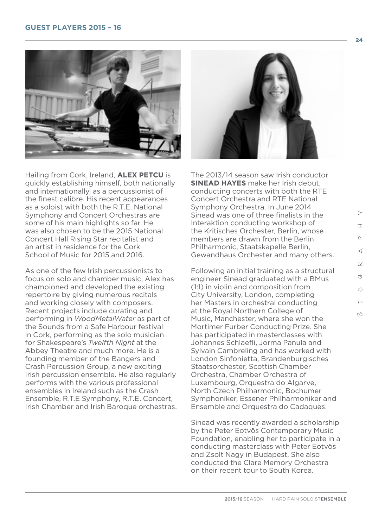

Hailing from Cork, Ireland, **Alex Petcu** is quickly establishing himself, both nationally and internationally, as a percussionist of the finest calibre. His recent appearances as a soloist with both the R.T.E. National Symphony and Concert Orchestras are some of his main highlights so far. He was also chosen to be the 2015 National Concert Hall Rising Star recitalist and an artist in residence for the Cork School of Music for 2015 and 2016.

As one of the few Irish percussionists to focus on solo and chamber music, Alex has championed and developed the existing repertoire by giving numerous recitals and working closely with composers. Recent projects include curating and performing in *WoodMetalWater* as part of the Sounds from a Safe Harbour festival in Cork, performing as the solo musician for Shakespeare's *Twelfth Night* at the Abbey Theatre and much more. He is a founding member of the Bangers and Crash Percussion Group, a new exciting Irish percussion ensemble. He also regularly performs with the various professional ensembles in Ireland such as the Crash Ensemble, R.T.E Symphony, R.T.E. Concert, Irish Chamber and Irish Baroque orchestras.



The 2013/14 season saw Irish conductor **Sinead Hayes** make her Irish debut, conducting concerts with both the RTE Concert Orchestra and RTE National Symphony Orchestra. In June 2014 Sinead was one of three finalists in the Interaktion conducting workshop of the Kritisches Orchester, Berlin, whose members are drawn from the Berlin Philharmonic, Staatskapelle Berlin, Gewandhaus Orchester and many others.

Following an initial training as a structural engineer Sinead graduated with a BMus (1:1) in violin and composition from City University, London, completing her Masters in orchestral conducting at the Royal Northern College of Music, Manchester, where she won the Mortimer Furber Conducting Prize. She has participated in masterclasses with Johannes Schlaefli, Jorma Panula and Sylvain Cambreling and has worked with London Sinfonietta, Brandenburgisches Staatsorchester, Scottish Chamber Orchestra, Chamber Orchestra of Luxembourg, Orquestra do Algarve, North Czech Philharmonic, Bochumer Symphoniker, Essener Philharmoniker and Ensemble and Orquestra do Cadaques.

Sinead was recently awarded a scholarship by the Peter Eotvös Contemporary Music Foundation, enabling her to participate in a conducting masterclass with Peter Eotvös and Zsolt Nagy in Budapest. She also conducted the Clare Memory Orchestra on their recent tour to South Korea.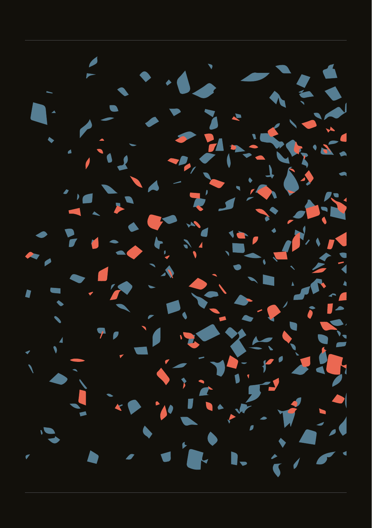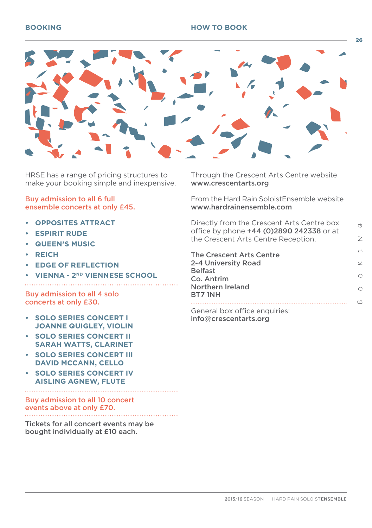## **Booking How to Book**



HRSE has a range of pricing structures to make your booking simple and inexpensive.

Buy admission to all 6 full ensemble concerts at only £45.

- **• Opposites Attract**
- **• Espirit Rude**
- **QUEEN'S MUSIC**
- **• Reich**
- **EDGE OF REFLECTION**
- **VIENNA 2<sup>ND</sup> VIENNESE SCHOOL**

Buy admission to all 4 solo concerts at only £30.

- **• Solo Series concert I Joanne Quigley, violin**
- **• Solo Series concert II Sarah Watts, Clarinet**
- **• Solo Series concert III David McCann, Cello**
- **• Solo Series concert IV Aisling Agnew, Flute**

Buy admission to all 10 concert events above at only £70.

Tickets for all concert events may be bought individually at £10 each.

Through the Crescent Arts Centre website [www.crescentarts.org](http://www.crescentarts.org/)

From the Hard Rain SoloistEnsemble website [www.hardrainensemble.com](http://www.hardrainensemble.com/)

Directly from the Crescent Arts Centre box office by phone +44 (0)2890 242338 or at the Crescent Arts Centre Reception.

| DII CCLIV TI VITI LITC OI CJCCITL / \I LJ CCITLI C NOA<br>office by phone <b>+44 (0)2890 242338</b> or at | ςņ           |
|-----------------------------------------------------------------------------------------------------------|--------------|
| the Crescent Arts Centre Reception.                                                                       | Z            |
| <b>The Crescent Arts Centre</b>                                                                           | $\vdash$     |
| 2-4 University Road<br><b>Belfast</b>                                                                     | $\checkmark$ |
| Co. Antrim                                                                                                | Ω            |
| Northern Ireland<br>BT71NH                                                                                | Ω            |
|                                                                                                           |              |

General box office enquiries: <info@crescentarts.org>

26

Ch  $\overline{z}$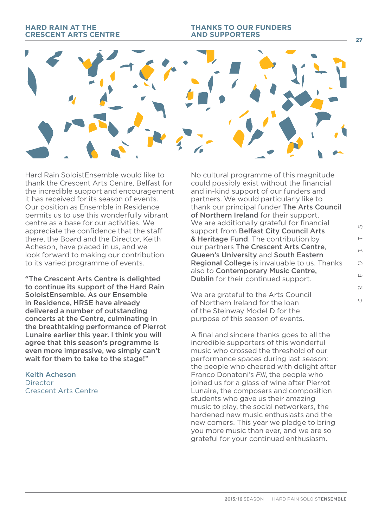#### **Thanks to our Funders and Supporters**



Hard Rain SoloistEnsemble would like to thank the Crescent Arts Centre, Belfast for the incredible support and encouragement it has received for its season of events. Our position as Ensemble in Residence permits us to use this wonderfully vibrant centre as a base for our activities. We appreciate the confidence that the staff there, the Board and the Director, Keith Acheson, have placed in us, and we look forward to making our contribution to its varied programme of events.

"The Crescent Arts Centre is delighted to continue its support of the Hard Rain SoloistEnsemble. As our Ensemble in Residence, HRSE have already delivered a number of outstanding concerts at the Centre, culminating in the breathtaking performance of Pierrot Lunaire earlier this year. I think you will agree that this season's programme is even more impressive, we simply can't wait for them to take to the stage!"

Keith Acheson Director Crescent Arts Centre

No cultural programme of this magnitude could possibly exist without the financial and in-kind support of our funders and partners. We would particularly like to thank our principal funder The Arts Council of Northern Ireland for their support. We are additionally grateful for financial support from Belfast City Council Arts & Heritage Fund. The contribution by our partners The Crescent Arts Centre, Queen's University and South Eastern Regional College is invaluable to us. Thanks also to Contemporary Music Centre, Dublin for their continued support.

We are grateful to the Arts Council of Northern Ireland for the loan of the Steinway Model D for the purpose of this season of events.

A final and sincere thanks goes to all the incredible supporters of this wonderful music who crossed the threshold of our performance spaces during last season: the people who cheered with delight after Franco Donatoni's *Fili*, the people who joined us for a glass of wine after Pierrot Lunaire, the composers and composition students who gave us their amazing music to play, the social networkers, the hardened new music enthusiasts and the new comers. This year we pledge to bring you more music than ever, and we are so grateful for your continued enthusiasm.

c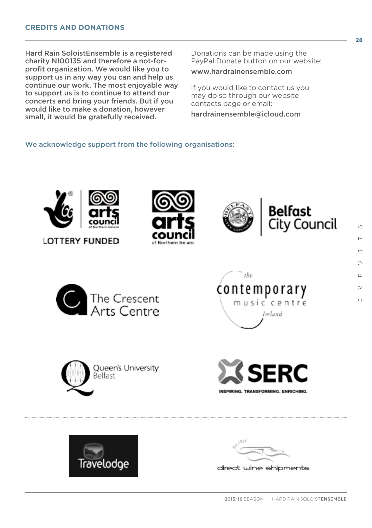Hard Rain SoloistEnsemble is a registered charity NI00135 and therefore a not-forprofit organization. We would like you to support us in any way you can and help us continue our work. The most enjoyable way to support us is to continue to attend our concerts and bring your friends. But if you would like to make a donation, however small, it would be gratefully received.

Donations can be made using the PayPal Donate button on our website:

# [www.hardrainensemble.com](http://www.hardrainensemble.com/#!blank/colm)

If you would like to contact us you may do so through our website contacts page or email: <hardrainensemble@icloud.com>

We acknowledge support from the following organisations:



**LOTTERY FUNDED** 















direct wine shipments

 $\epsilon$ 

 $\epsilon$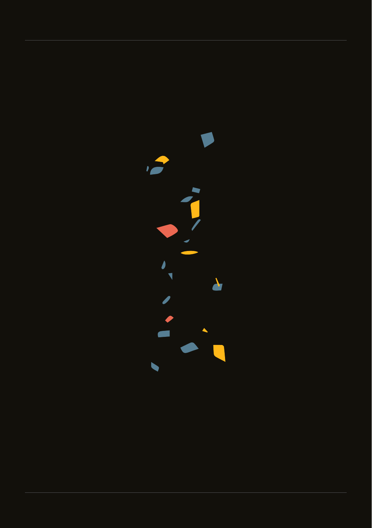